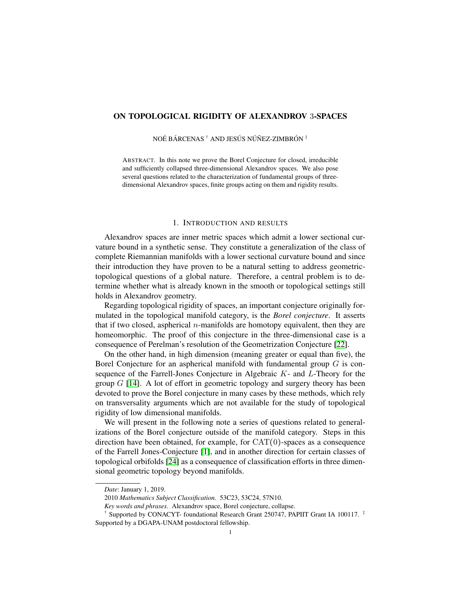# ON TOPOLOGICAL RIGIDITY OF ALEXANDROV 3-SPACES

NOÉ BÁRCENAS <sup>†</sup> AND JESÚS NÚÑEZ-ZIMBRÓN <sup>‡</sup>

ABSTRACT. In this note we prove the Borel Conjecture for closed, irreducible and sufficiently collapsed three-dimensional Alexandrov spaces. We also pose several questions related to the characterization of fundamental groups of threedimensional Alexandrov spaces, finite groups acting on them and rigidity results.

## 1. INTRODUCTION AND RESULTS

Alexandrov spaces are inner metric spaces which admit a lower sectional curvature bound in a synthetic sense. They constitute a generalization of the class of complete Riemannian manifolds with a lower sectional curvature bound and since their introduction they have proven to be a natural setting to address geometrictopological questions of a global nature. Therefore, a central problem is to determine whether what is already known in the smooth or topological settings still holds in Alexandrov geometry.

Regarding topological rigidity of spaces, an important conjecture originally formulated in the topological manifold category, is the *Borel conjecture*. It asserts that if two closed, aspherical  $n$ -manifolds are homotopy equivalent, then they are homeomorphic. The proof of this conjecture in the three-dimensional case is a consequence of Perelman's resolution of the Geometrization Conjecture [\[22\]](#page-10-0).

On the other hand, in high dimension (meaning greater or equal than five), the Borel Conjecture for an aspherical manifold with fundamental group  $G$  is consequence of the Farrell-Jones Conjecture in Algebraic  $K$ - and  $L$ -Theory for the group  $G$  [\[14\]](#page-10-1). A lot of effort in geometric topology and surgery theory has been devoted to prove the Borel conjecture in many cases by these methods, which rely on transversality arguments which are not available for the study of topological rigidity of low dimensional manifolds.

We will present in the following note a series of questions related to generalizations of the Borel conjecture outside of the manifold category. Steps in this direction have been obtained, for example, for  $CAT(0)$ -spaces as a consequence of the Farrell Jones-Conjecture [\[1\]](#page-9-0), and in another direction for certain classes of topological orbifolds [\[24\]](#page-10-2) as a consequence of classification efforts in three dimensional geometric topology beyond manifolds.

*Date*: January 1, 2019.

<sup>2010</sup> *Mathematics Subject Classification.* 53C23, 53C24, 57N10.

*Key words and phrases.* Alexandrov space, Borel conjecture, collapse.

<sup>&</sup>lt;sup>†</sup> Supported by CONACYT- foundational Research Grant 250747, PAPIIT Grant IA 100117. <sup>‡</sup> Supported by a DGAPA-UNAM postdoctoral fellowship.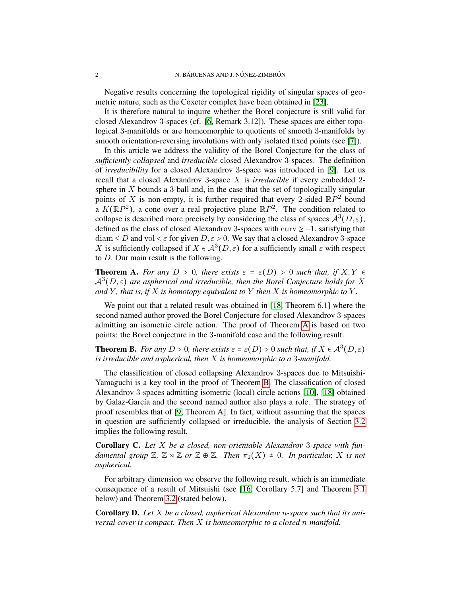Negative results concerning the topological rigidity of singular spaces of geometric nature, such as the Coxeter complex have been obtained in [\[23\]](#page-10-3).

It is therefore natural to inquire whether the Borel conjecture is still valid for closed Alexandrov 3-spaces (cf. [\[6,](#page-9-1) Remark 3.12]). These spaces are either topological 3-manifolds or are homeomorphic to quotients of smooth 3-manifolds by smooth orientation-reversing involutions with only isolated fixed points (see [\[7\]](#page-9-2)).

In this article we address the validity of the Borel Conjecture for the class of *sufficiently collapsed* and *irreducible* closed Alexandrov 3-spaces. The definition of *irreducibility* for a closed Alexandrov 3-space was introduced in [\[9\]](#page-9-3). Let us recall that a closed Alexandrov 3-space X is *irreducible* if every embedded 2 sphere in  $X$  bounds a 3-ball and, in the case that the set of topologically singular points of X is non-empty, it is further required that every 2-sided  $\mathbb{R}P^2$  bound a  $K(\mathbb{R}P^2)$ , a cone over a real projective plane  $\mathbb{R}P^2$ . The condition related to collapse is described more precisely by considering the class of spaces  $\mathcal{A}^{3}(D,\varepsilon)$ , defined as the class of closed Alexandrov 3-spaces with curv ≥ −1, satisfying that  $diam \le D$  and vol  $\lt \varepsilon$  for given  $D, \varepsilon > 0$ . We say that a closed Alexandrov 3-space X is sufficiently collapsed if  $X \in \mathcal{A}^{3}(D, \varepsilon)$  for a sufficiently small  $\varepsilon$  with respect to D. Our main result is the following.

<span id="page-1-0"></span>**Theorem A.** For any  $D > 0$ , there exists  $\varepsilon = \varepsilon(D) > 0$  such that, if  $X, Y \in$  $\mathcal{A}^{3}(D,\varepsilon)$  are aspherical and irreducible, then the Borel Conjecture holds for X *and*  $Y$ *, that is, if*  $X$  *is homotopy equivalent to*  $Y$  *then*  $X$  *is homeomorphic to*  $Y$ *.* 

We point out that a related result was obtained in [\[18,](#page-10-4) Theorem 6.1] where the second named author proved the Borel Conjecture for closed Alexandrov 3-spaces admitting an isometric circle action. The proof of Theorem [A](#page-1-0) is based on two points: the Borel conjecture in the 3-manifold case and the following result.

<span id="page-1-1"></span>**Theorem B.** *For any*  $D > 0$ *, there exists*  $\varepsilon = \varepsilon(D) > 0$  *such that, if*  $X \in \mathcal{A}^3(D, \varepsilon)$ *is irreducible and aspherical, then* X *is homeomorphic to a* 3*-manifold.*

The classification of closed collapsing Alexandrov 3-spaces due to Mitsuishi-Yamaguchi is a key tool in the proof of Theorem [B.](#page-1-1) The classification of closed Alexandrov 3-spaces admitting isometric (local) circle actions [\[10\]](#page-9-4), [\[18\]](#page-10-4) obtained by Galaz-García and the second named author also plays a role. The strategy of proof resembles that of [\[9,](#page-9-3) Theorem A]. In fact, without assuming that the spaces in question are sufficiently collapsed or irreducible, the analysis of Section [3.2](#page-5-0) implies the following result.

Corollary C. *Let* X *be a closed, non-orientable Alexandrov* 3*-space with fundamental group*  $\mathbb{Z}, \mathbb{Z} \rtimes \mathbb{Z}$  *or*  $\mathbb{Z} \oplus \mathbb{Z}$ *. Then*  $\pi_2(X) \neq 0$ *. In particular,* X *is not aspherical.*

For arbitrary dimension we observe the following result, which is an immediate consequence of a result of Mitsuishi (see [\[16,](#page-10-5) Corollary 5.7] and Theorem [3.1](#page-6-0) below) and Theorem [3.2](#page-6-1) (stated below).

<span id="page-1-2"></span>Corollary D. *Let* X *be a closed, aspherical Alexandrov* n*-space such that its universal cover is compact. Then* X *is homeomorphic to a closed* n*-manifold.*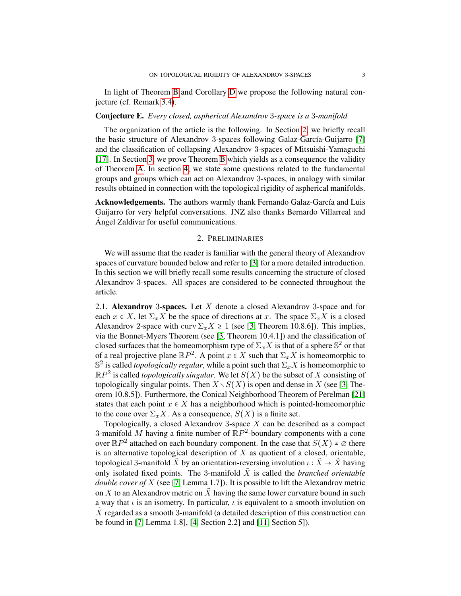In light of Theorem [B](#page-1-1) and Corollary [D](#page-1-2) we propose the following natural conjecture (cf. Remark [3.4\)](#page-8-0).

### <span id="page-2-1"></span>Conjecture E. *Every closed, aspherical Alexandrov* 3*-space is a* 3*-manifold*

The organization of the article is the following. In Section [2,](#page-2-0) we briefly recall the basic structure of Alexandrov 3-spaces following Galaz-García-Guijarro [\[7\]](#page-9-2) and the classification of collapsing Alexandrov 3-spaces of Mitsuishi-Yamaguchi [\[17\]](#page-10-6). In Section [3,](#page-4-0) we prove Theorem [B](#page-1-1) which yields as a consequence the validity of Theorem [A.](#page-1-0) In section [4,](#page-8-1) we state some questions related to the fundamental groups and groups which can act on Alexandrov 3-spaces, in analogy with similar results obtained in connection with the topological rigidity of aspherical manifolds.

Acknowledgements. The authors warmly thank Fernando Galaz-García and Luis Guijarro for very helpful conversations. JNZ also thanks Bernardo Villarreal and Angel Zaldivar for useful communications. ´

### 2. PRELIMINARIES

<span id="page-2-0"></span>We will assume that the reader is familiar with the general theory of Alexandrov spaces of curvature bounded below and refer to [\[3\]](#page-9-5) for a more detailed introduction. In this section we will briefly recall some results concerning the structure of closed Alexandrov 3-spaces. All spaces are considered to be connected throughout the article.

2.1. Alexandrov 3-spaces. Let  $X$  denote a closed Alexandrov 3-space and for each  $x \in X$ , let  $\Sigma_x X$  be the space of directions at x. The space  $\Sigma_x X$  is a closed Alexandrov 2-space with curv  $\Sigma_x X \ge 1$  (see [\[3,](#page-9-5) Theorem 10.8.6]). This implies, via the Bonnet-Myers Theorem (see [\[3,](#page-9-5) Theorem 10.4.1]) and the classification of closed surfaces that the homeomorphism type of  $\Sigma_x X$  is that of a sphere  $\mathbb{S}^2$  or that of a real projective plane  $\mathbb{R}P^2$ . A point  $x \in X$  such that  $\Sigma_x X$  is homeomorphic to  $\mathbb{S}^2$  is called *topologically regular*, while a point such that  $\Sigma_x X$  is homeomorphic to  $\mathbb{R}P^2$  is called *topologically singular*. We let  $S(X)$  be the subset of X consisting of topologically singular points. Then  $X \setminus S(X)$  is open and dense in X (see [\[3,](#page-9-5) Theorem 10.8.5]). Furthermore, the Conical Neighborhood Theorem of Perelman [\[21\]](#page-10-7) states that each point  $x \in X$  has a neighborhood which is pointed-homeomorphic to the cone over  $\Sigma_x X$ . As a consequence,  $S(X)$  is a finite set.

Topologically, a closed Alexandrov 3-space  $X$  can be described as a compact 3-manifold M having a finite number of  $\mathbb{R}P^2$ -boundary components with a cone over  $\mathbb{R}P^2$  attached on each boundary component. In the case that  $S(X) \neq \emptyset$  there is an alternative topological description of  $X$  as quotient of a closed, orientable, topological 3-manifold X by an orientation-reversing involution  $\iota : X \to X$  having only isolated fixed points. The 3-manifold  $\tilde{X}$  is called the *branched orientable double cover of* X (see [\[7,](#page-9-2) Lemma 1.7]). It is possible to lift the Alexandrov metric on X to an Alexandrov metric on  $\tilde{X}$  having the same lower curvature bound in such a way that  $\iota$  is an isometry. In particular,  $\iota$  is equivalent to a smooth involution on  $X$  regarded as a smooth 3-manifold (a detailed description of this construction can be found in [\[7,](#page-9-2) Lemma 1.8], [\[4,](#page-9-6) Section 2.2] and [\[11,](#page-9-7) Section 5]).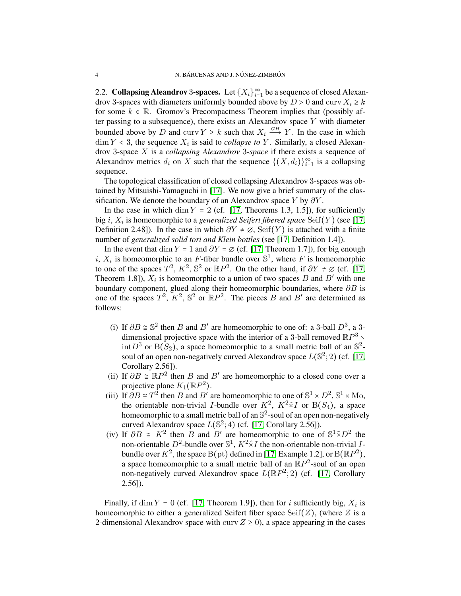2.2. Collapsing Aleandrov 3-spaces. Let  $\{X_i\}_{i=1}^{\infty}$  be a sequence of closed Alexandrov 3-spaces with diameters uniformly bounded above by  $D > 0$  and curv  $X_i \geq k$ for some  $k \in \mathbb{R}$ . Gromov's Precompactness Theorem implies that (possibly after passing to a subsequence), there exists an Alexandrov space  $Y$  with diameter bounded above by D and curv  $Y \geq k$  such that  $X_i \stackrel{GH}{\longrightarrow} Y$ . In the case in which  $\dim Y < 3$ , the sequence  $X_i$  is said to *collapse to Y*. Similarly, a closed Alexandrov 3-space X is a *collapsing Alexandrov* 3*-space* if there exists a sequence of Alexandrov metrics  $d_i$  on X such that the sequence  $\{(X, d_i)\}_{i=1}^{\infty}$  is a collapsing sequence.

The topological classification of closed collapsing Alexandrov 3-spaces was obtained by Mitsuishi-Yamaguchi in [\[17\]](#page-10-6). We now give a brief summary of the classification. We denote the boundary of an Alexandrov space Y by  $\partial Y$ .

In the case in which dim  $Y = 2$  (cf. [\[17,](#page-10-6) Theorems 1.3, 1.5]), for sufficiently big  $i$ ,  $X_i$  is homeomorphic to a *generalized Seifert fibered space*  $\operatorname{Seif}(Y)$  (see [\[17,](#page-10-6) Definition 2.48]). In the case in which  $\partial Y \neq \emptyset$ , Seif(Y) is attached with a finite number of *generalized solid tori and Klein bottles* (see [\[17,](#page-10-6) Definition 1.4]).

In the event that dim Y = 1 and  $\partial Y = \emptyset$  (cf. [\[17,](#page-10-6) Theorem 1.7]), for big enough i,  $X_i$  is homeomorphic to an F-fiber bundle over  $\mathbb{S}^1$ , where F is homeomorphic to one of the spaces  $T^2$ ,  $K^2$ ,  $\mathbb{S}^2$  or  $\mathbb{R}P^2$ . On the other hand, if  $\partial Y \neq \emptyset$  (cf. [\[17,](#page-10-6) Theorem 1.8]),  $X_i$  is homeomorphic to a union of two spaces B and B' with one boundary component, glued along their homeomorphic boundaries, where  $\partial B$  is one of the spaces  $T^2$ ,  $K^2$ ,  $\mathbb{S}^2$  or  $\mathbb{R}P^2$ . The pieces B and B' are determined as follows:

- (i) If  $\partial B \cong \mathbb{S}^2$  then B and B' are homeomorphic to one of: a 3-ball  $D^3$ , a 3dimensional projective space with the interior of a 3-ball removed  $\mathbb{R}P^3 \setminus$  $\text{int}D^3$  or  $B(S_2)$ , a space homeomorphic to a small metric ball of an  $\mathbb{S}^2$ soul of an open non-negatively curved Alexandrov space  $L(\mathbb{S}^2;2)$  (cf. [\[17,](#page-10-6) Corollary 2.56]).
- (ii) If  $\partial B \cong \mathbb{R}P^2$  then B and B' are homeomorphic to a closed cone over a projective plane  $K_1(\mathbb{R}P^2)$ .
- (iii) If  $\partial B \cong T^2$  then B and B' are homeomorphic to one of  $\mathbb{S}^1 \times D^2$ ,  $\mathbb{S}^1 \times \text{Mo}$ , the orientable non-trivial *I*-bundle over  $K^2$ ,  $K^2 \tilde{\times} I$  or  $B(S_4)$ , a space homeomorphic to a small metric ball of an  $\mathbb{S}^2$ -soul of an open non-negatively curved Alexandrov space  $L(\mathbb{S}^2;4)$  (cf. [\[17,](#page-10-6) Corollary 2.56]).
- (iv) If  $\partial B \cong K^2$  then  $\overline{B}$  and  $\overline{B}'$  are homeomorphic to one of  $\mathbb{S}^1 \tilde{\times} D^2$  the non-orientable  $D^2$ -bundle over  $\mathbb{S}^1$ ,  $K^2 \hat{\times} I$  the non-orientable non-trivial Ibundle over  $K^2$ , the space  $B(pt)$  defined in [\[17,](#page-10-6) Example 1.2], or  $B(\mathbb{R}P^2)$ , a space homeomorphic to a small metric ball of an  $\mathbb{R}P^2$ -soul of an open non-negatively curved Alexandrov space  $L(\mathbb{R}P^2;2)$  (cf. [\[17,](#page-10-6) Corollary 2.56]).

Finally, if  $\dim Y = 0$  (cf. [\[17,](#page-10-6) Theorem 1.9]), then for i sufficiently big,  $X_i$  is homeomorphic to either a generalized Seifert fiber space  $\text{Seif}(Z)$ , (where Z is a 2-dimensional Alexandrov space with curv  $Z \ge 0$ ), a space appearing in the cases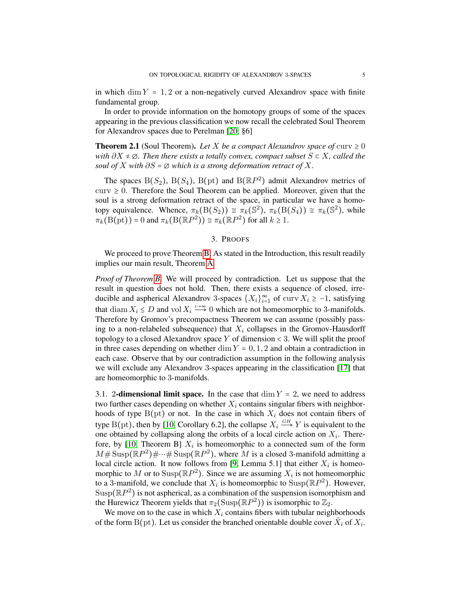in which dim  $Y = 1, 2$  or a non-negatively curved Alexandrov space with finite fundamental group.

In order to provide information on the homotopy groups of some of the spaces appearing in the previous classification we now recall the celebrated Soul Theorem for Alexandrov spaces due to Perelman [\[20,](#page-10-8) §6]

**Theorem 2.1** (Soul Theorem). Let X be a compact Alexandrov space of curv  $\geq 0$ *with* ∂X ≠ ∅*. Then there exists a totally convex, compact subset* S ⊂ X*, called the soul of*  $X$  *with*  $\partial S = \emptyset$  *which is a strong deformation retract of*  $X$ *.* 

The spaces  $B(S_2)$ ,  $B(S_4)$ ,  $B(pt)$  and  $B(\mathbb{R}P^2)$  admit Alexandrov metrics of  $curv \geq 0$ . Therefore the Soul Theorem can be applied. Moreover, given that the soul is a strong deformation retract of the space, in particular we have a homotopy equivalence. Whence,  $\pi_k(\text{B}(S_2)) \cong \pi_k(\mathbb{S}^2)$ ,  $\pi_k(\text{B}(S_4)) \cong \pi_k(\mathbb{S}^2)$ , while  $\pi_k(B(pt)) = 0$  and  $\pi_k(B(\mathbb{R}P^2)) \cong \pi_k(\mathbb{R}P^2)$  for all  $k \geq 1$ .

#### 3. PROOFS

<span id="page-4-0"></span>We proceed to prove Theorem [B.](#page-1-1) As stated in the Introduction, this result readily implies our main result, Theorem [A.](#page-1-0)

*Proof of Theorem [B.](#page-1-1)* We will proceed by contradiction. Let us suppose that the result in question does not hold. Then, there exists a sequence of closed, irreducible and aspherical Alexandrov 3-spaces  $\{X_i\}_{i=1}^{\infty}$  of curv  $X_i \ge -1$ , satisfying that diam  $X_i \leq D$  and vol  $X_i \stackrel{i \to \infty}{\longrightarrow} 0$  which are not homeomorphic to 3-manifolds. Therefore by Gromov's precompactness Theorem we can assume (possibly passing to a non-relabeled subsequence) that  $X_i$  collapses in the Gromov-Hausdorff topology to a closed Alexandrov space Y of dimension  $\lt$  3. We will split the proof in three cases depending on whether dim  $Y = 0, 1, 2$  and obtain a contradiction in each case. Observe that by our contradiction assumption in the following analysis we will exclude any Alexandrov 3-spaces appearing in the classification [\[17\]](#page-10-6) that are homeomorphic to 3-manifolds.

<span id="page-4-1"></span>3.1. 2-dimensional limit space. In the case that  $\dim Y = 2$ , we need to address two further cases depending on whether  $X_i$  contains singular fibers with neighborhoods of type  $B(pt)$  or not. In the case in which  $X_i$  does not contain fibers of type B(pt), then by [\[10,](#page-9-4) Corollary 6.2], the collapse  $X_i \stackrel{GH}{\longrightarrow} Y$  is equivalent to the one obtained by collapsing along the orbits of a local circle action on  $X_i$ . There-fore, by [\[10,](#page-9-4) Theorem B]  $X_i$  is homeomorphic to a connected sum of the form  $M#$  Susp $(\mathbb{R}P^2)$ #…# Susp $(\mathbb{R}P^2)$ , where M is a closed 3-manifold admitting a local circle action. It now follows from [\[9,](#page-9-3) Lemma 5.1] that either  $X_i$  is homeomorphic to M or to Susp( $\mathbb{R}P^2$ ). Since we are assuming  $X_i$  is not homeomorphic to a 3-manifold, we conclude that  $X_i$  is homeomorphic to  $\text{Susp}(\mathbb{R}P^2)$ . However,  $\text{Supp}(\mathbb{R}P^2)$  is not aspherical, as a combination of the suspension isomorphism and the Hurewicz Theorem yields that  $\pi_2(\text{Susp}(\mathbb{R}P^2))$  is isomorphic to  $\mathbb{Z}_2$ .

We move on to the case in which  $X_i$  contains fibers with tubular neighborhoods of the form B(pt). Let us consider the branched orientable double cover  $\tilde{X}_i$  of  $X_i$ .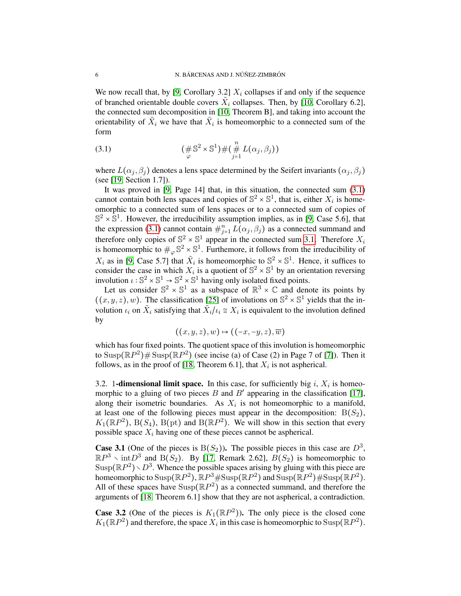We now recall that, by [\[9,](#page-9-3) Corollary 3.2]  $X_i$  collapses if and only if the sequence of branched orientable double covers  $\tilde{X}_i$  collapses. Then, by [\[10,](#page-9-4) Corollary 6.2], the connected sum decomposition in [\[10,](#page-9-4) Theorem B], and taking into account the orientability of  $\tilde{X}_i$  we have that  $\tilde{X}_i$  is homeomorphic to a connected sum of the form

<span id="page-5-1"></span>(3.1) 
$$
(\#\mathbb{S}^2 \times \mathbb{S}^1) \# (\mathop{\#}_{j=1}^n L(\alpha_j, \beta_j))
$$

where  $L(\alpha_j, \beta_j)$  denotes a lens space determined by the Seifert invariants  $(\alpha_j, \beta_j)$ (see [\[19,](#page-10-9) Section 1.7]).

It was proved in [\[9,](#page-9-3) Page 14] that, in this situation, the connected sum [\(3.1\)](#page-5-1) cannot contain both lens spaces and copies of  $\mathbb{S}^2 \times \mathbb{S}^1$ , that is, either  $X_i$  is homeomorphic to a connected sum of lens spaces or to a connected sum of copies of  $\mathbb{S}^2 \times \mathbb{S}^1$ . However, the irreducibility assumption implies, as in [\[9,](#page-9-3) Case 5.6], that the expression [\(3.1\)](#page-5-1) cannot contain  $\#_{j=1}^n L(\alpha_j, \beta_j)$  as a connected summand and therefore only copies of  $\mathbb{S}^2 \times \mathbb{S}^1$  appear in the connected sum [3.1.](#page-5-1) Therefore  $X_i$ is homeomorphic to  $\#_{\varphi} \mathbb{S}^2 \times \mathbb{S}^1$ . Furthemore, it follows from the irreducibility of  $X_i$  as in [\[9,](#page-9-3) Case 5.7] that  $\tilde{X}_i$  is homeomorphic to  $\mathbb{S}^2 \times \mathbb{S}^1$ . Hence, it suffices to consider the case in which  $X_i$  is a quotient of  $\mathbb{S}^2 \times \mathbb{S}^1$  by an orientation reversing involution  $\iota : \mathbb{S}^2 \times \mathbb{S}^1 \to \mathbb{S}^2 \times \mathbb{S}^1$  having only isolated fixed points.

Let us consider  $\mathbb{S}^2 \times \mathbb{S}^1$  as a subspace of  $\mathbb{R}^3 \times \mathbb{C}$  and denote its points by  $((x, y, z), w)$ . The classification [\[25\]](#page-10-10) of involutions on  $\mathbb{S}^2 \times \mathbb{S}^1$  yields that the involution  $\iota_i$  on  $\tilde{X}_i$  satisfying that  $\tilde{X}_i/\iota_i \cong X_i$  is equivalent to the involution defined by

$$
((x,y,z),w)\mapsto ((-x,-y,z),\overline{w})
$$

which has four fixed points. The quotient space of this involution is homeomorphic to Susp $(\mathbb{R}P^2)$ # Susp $(\mathbb{R}P^2)$  (see incise (a) of Case (2) in Page 7 of [\[7\]](#page-9-2)). Then it follows, as in the proof of [\[18,](#page-10-4) Theorem 6.1], that  $X_i$  is not aspherical.

<span id="page-5-0"></span>3.2. 1-dimensional limit space. In this case, for sufficiently big  $i$ ,  $X_i$  is homeomorphic to a gluing of two pieces  $B$  and  $B'$  appearing in the classification [\[17\]](#page-10-6), along their isometric boundaries. As  $X_i$  is not homeomorphic to a manifold, at least one of the following pieces must appear in the decomposition:  $B(S_2)$ ,  $K_1(\mathbb{R}P^2)$ , B(S<sub>4</sub>), B(pt) and B( $\mathbb{R}P^2$ ). We will show in this section that every possible space  $X_i$  having one of these pieces cannot be aspherical.

**Case 3.1** (One of the pieces is  $B(S_2)$ ). The possible pieces in this case are  $D^3$ ,  $\mathbb{R}P^3$  \ int $D^3$  and B(S<sub>2</sub>). By [\[17,](#page-10-6) Remark 2.62],  $B(S_2)$  is homeomorphic to Susp $(\mathbb{R}P^2) \setminus D^3$ . Whence the possible spaces arising by gluing with this piece are homeomorphic to  $\text{Sup}(\mathbb{R}P^2)$ ,  $\mathbb{R}P^3 \# \text{Sup}(\mathbb{R}P^2)$  and  $\text{Sup}(\mathbb{R}P^2) \# \text{Sup}(\mathbb{R}P^2)$ . All of these spaces have  $\text{Supp}(\mathbb{R}P^2)$  as a connected summand, and therefore the arguments of [\[18,](#page-10-4) Theorem 6.1] show that they are not aspherical, a contradiction.

**Case 3.2** (One of the pieces is  $K_1(\mathbb{R}P^2)$ ). The only piece is the closed cone  $K_1(\mathbb{R}P^2)$  and therefore, the space  $X_i$  in this case is homeomorphic to  $\text{Susp}(\mathbb{R}P^2)$ .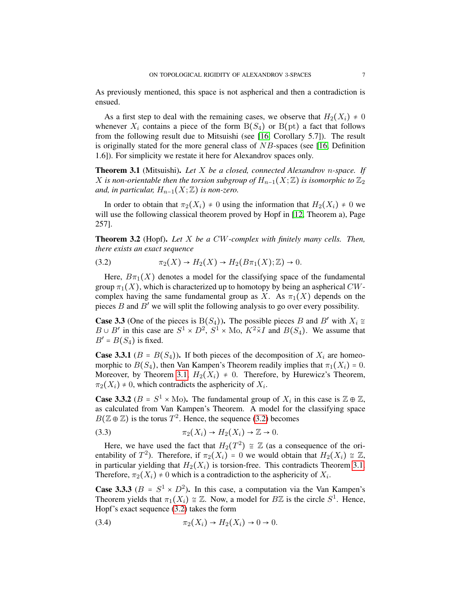As previously mentioned, this space is not aspherical and then a contradiction is ensued.

As a first step to deal with the remaining cases, we observe that  $H_2(X_i) \neq 0$ whenever  $X_i$  contains a piece of the form  $B(S_4)$  or  $B(pt)$  a fact that follows from the following result due to Mitsuishi (see [\[16,](#page-10-5) Corollary 5.7]). The result is originally stated for the more general class of  $NB$ -spaces (see [\[16,](#page-10-5) Definition 1.6]). For simplicity we restate it here for Alexandrov spaces only.

<span id="page-6-0"></span>Theorem 3.1 (Mitsuishi). *Let* X *be a closed, connected Alexandrov* n*-space. If* X *is non-orientable then the torsion subgroup of*  $H_{n-1}(X;\mathbb{Z})$  *is isomorphic to*  $\mathbb{Z}_2$ *and, in particular,*  $H_{n-1}(X;\mathbb{Z})$  *is non-zero.* 

In order to obtain that  $\pi_2(X_i) \neq 0$  using the information that  $H_2(X_i) \neq 0$  we will use the following classical theorem proved by Hopf in [\[12,](#page-9-8) Theorem a), Page 257].

<span id="page-6-1"></span>Theorem 3.2 (Hopf). *Let* X *be a* CW*-complex with finitely many cells. Then, there exists an exact sequence*

<span id="page-6-2"></span>(3.2) 
$$
\pi_2(X) \to H_2(X) \to H_2(B\pi_1(X); \mathbb{Z}) \to 0.
$$

Here,  $B\pi_1(X)$  denotes a model for the classifying space of the fundamental group  $\pi_1(X)$ , which is characterized up to homotopy by being an aspherical CWcomplex having the same fundamental group as X. As  $\pi_1(X)$  depends on the pieces  $B$  and  $B'$  we will split the following analysis to go over every possibility.

**Case 3.3** (One of the pieces is B $(S_4)$ ). The possible pieces B and B' with  $X_i \cong$  $B \cup B'$  in this case are  $S^1 \times D^2$ ,  $S^1 \times$  Mo,  $K^2 \tilde{\times} I$  and  $B(S_4)$ . We assume that  $B' = B(S_4)$  is fixed.

<span id="page-6-3"></span>**Case 3.3.1** ( $B = B(S_4)$ ). If both pieces of the decomposition of  $X_i$  are homeomorphic to  $B(S_4)$ , then Van Kampen's Theorem readily implies that  $\pi_1(X_i) = 0$ . Moreover, by Theorem [3.1,](#page-6-0)  $H_2(X_i) \neq 0$ . Therefore, by Hurewicz's Theorem,  $\pi_2(X_i) \neq 0$ , which contradicts the asphericity of  $X_i$ .

**Case 3.3.2** ( $B = S^1 \times \text{Mo}$ ). The fundamental group of  $X_i$  in this case is  $\mathbb{Z} \oplus \mathbb{Z}$ , as calculated from Van Kampen's Theorem. A model for the classifying space  $B(\mathbb{Z} \oplus \mathbb{Z})$  is the torus  $T^2$ . Hence, the sequence [\(3.2\)](#page-6-2) becomes

(3.3) 
$$
\pi_2(X_i) \to H_2(X_i) \to \mathbb{Z} \to 0.
$$

Here, we have used the fact that  $H_2(T^2) \cong \mathbb{Z}$  (as a consequence of the orientability of  $T^2$ ). Therefore, if  $\pi_2(X_i) = 0$  we would obtain that  $H_2(X_i) \cong \mathbb{Z}$ , in particular yielding that  $H_2(X_i)$  is torsion-free. This contradicts Theorem [3.1.](#page-6-0) Therefore,  $\pi_2(X_i) \neq 0$  which is a contradiction to the asphericity of  $X_i$ .

<span id="page-6-4"></span>**Case 3.3.3** ( $B = S^1 \times D^2$ ). In this case, a computation via the Van Kampen's Theorem yields that  $\pi_1(X_i) \cong \mathbb{Z}$ . Now, a model for  $B\mathbb{Z}$  is the circle  $S^1$ . Hence, Hopf's exact sequence [\(3.2\)](#page-6-2) takes the form

(3.4) 
$$
\pi_2(X_i) \to H_2(X_i) \to 0 \to 0.
$$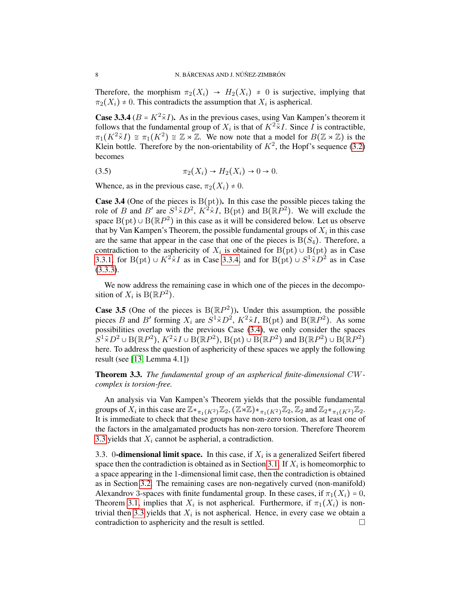Therefore, the morphism  $\pi_2(X_i) \to H_2(X_i) \neq 0$  is surjective, implying that  $\pi_2(X_i) \neq 0$ . This contradicts the assumption that  $X_i$  is aspherical.

<span id="page-7-0"></span>**Case 3.3.4** ( $B = K^2 \tilde{\times} I$ ). As in the previous cases, using Van Kampen's theorem it follows that the fundamental group of  $X_i$  is that of  $K^2 \times I$ . Since  $\overline{I}$  is contractible,  $\pi_1(K^2 \tilde{\times} I) \cong \pi_1(K^2) \cong \mathbb{Z} \rtimes \mathbb{Z}$ . We now note that a model for  $B(\mathbb{Z} \rtimes \mathbb{Z})$  is the Klein bottle. Therefore by the non-orientability of  $K^2$ , the Hopf's sequence [\(3.2\)](#page-6-2) becomes

(3.5) 
$$
\pi_2(X_i) \to H_2(X_i) \to 0 \to 0.
$$

Whence, as in the previous case,  $\pi_2(X_i) \neq 0$ .

<span id="page-7-1"></span>**Case 3.4** (One of the pieces is  $B(pt)$ ). In this case the possible pieces taking the role of B and B' are  $S^1 \tilde{X} D^2$ ,  $K^2 \tilde{X} I$ , B(pt) and B( $\mathbb{R}P^2$ ). We will exclude the space  $B(pt) \cup B(\mathbb{R}P^2)$  in this case as it will be considered below. Let us observe that by Van Kampen's Theorem, the possible fundamental groups of  $X_i$  in this case are the same that appear in the case that one of the pieces is  $B(S_4)$ . Therefore, a contradiction to the asphericity of  $X_i$  is obtained for  $B(pt) \cup B(pt)$  as in Case [3.3.1,](#page-6-3) for B(pt) ∪  $K^2 \times I$  as in Case [3.3.4,](#page-7-0) and for B(pt) ∪  $S^1 \times D^2$  as in Case [\(3.3.3\)](#page-6-4).

We now address the remaining case in which one of the pieces in the decomposition of  $X_i$  is  $\mathrm{B}(\mathbb{R}P^2)$ .

**Case 3.5** (One of the pieces is  $B(\mathbb{R}P^2)$ ). Under this assumption, the possible pieces B and B' forming  $X_i$  are  $S^1 \tilde{X} D^2$ ,  $K^2 \tilde{X} I$ ,  $B(pt)$  and  $\tilde{B} (\mathbb{R}P^2)$ . As some possibilities overlap with the previous Case [\(3.4\)](#page-7-1), we only consider the spaces  $S^1 \tilde{\times} D^2 \cup B(\mathbb{R}P^2)$ ,  $K^2 \tilde{\times} I \cup B(\mathbb{R}P^2)$ ,  $B(pt) \cup B(\mathbb{R}P^2)$  and  $B(\mathbb{R}P^2) \cup B(\mathbb{R}P^2)$ here. To address the question of asphericity of these spaces we apply the following result (see [\[13,](#page-9-9) Lemma 4.1])

<span id="page-7-2"></span>Theorem 3.3. *The fundamental group of an aspherical finite-dimensional* CW*complex is torsion-free.*

An analysis via Van Kampen's Theorem yields that the possible fundamental groups of  $\overline{X}_i$  in this case are  $\mathbb{Z} *_{\pi_1(K^2)} \mathbb{Z}_2$ ,  $(\mathbb{Z} * \mathbb{Z}) *_{\pi_1(K^2)} \mathbb{Z}_2$ ,  $\mathbb{Z}_2$  and  $\mathbb{Z}_2 *_{\pi_1(K^2)} \mathbb{Z}_2$ . It is immediate to check that these groups have non-zero torsion, as at least one of the factors in the amalgamated products has non-zero torsion. Therefore Theorem [3.3](#page-7-2) yields that  $X_i$  cannot be aspherial, a contradiction.

3.3. 0-dimensional limit space. In this case, if  $X_i$  is a generalized Seifert fibered space then the contradiction is obtained as in Section [3.1.](#page-4-1) If  $X_i$  is homeomorphic to a space appearing in the 1-dimensional limit case, then the contradiction is obtained as in Section [3.2.](#page-5-0) The remaining cases are non-negatively curved (non-manifold) Alexandrov 3-spaces with finite fundamental group. In these cases, if  $\pi_1(X_i) = 0$ , Theorem [3.1,](#page-6-0) implies that  $X_i$  is not aspherical. Furthermore, if  $\pi_1(X_i)$  is non-trivial then [3.3](#page-7-2) yields that  $X_i$  is not aspherical. Hence, in every case we obtain a contradiction to asphericity and the result is settled.  $\Box$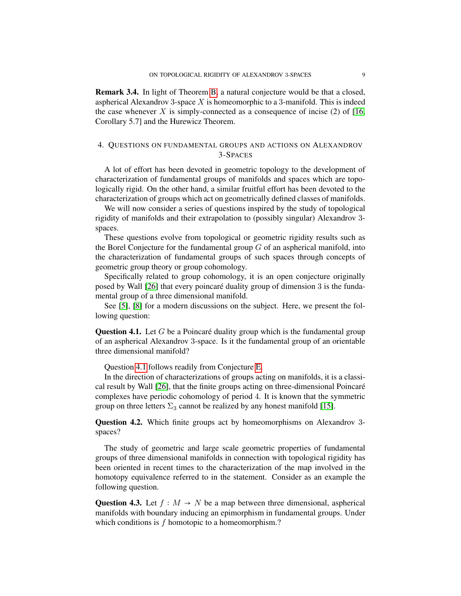<span id="page-8-0"></span>Remark 3.4. In light of Theorem [B,](#page-1-1) a natural conjecture would be that a closed, aspherical Alexandrov 3-space  $X$  is homeomorphic to a 3-manifold. This is indeed the case whenever  $X$  is simply-connected as a consequence of incise (2) of [\[16,](#page-10-5) Corollary 5.7] and the Hurewicz Theorem.

## <span id="page-8-1"></span>4. QUESTIONS ON FUNDAMENTAL GROUPS AND ACTIONS ON ALEXANDROV 3-SPACES

A lot of effort has been devoted in geometric topology to the development of characterization of fundamental groups of manifolds and spaces which are topologically rigid. On the other hand, a similar fruitful effort has been devoted to the characterization of groups which act on geometrically defined classes of manifolds.

We will now consider a series of questions inspired by the study of topological rigidity of manifolds and their extrapolation to (possibly singular) Alexandrov 3 spaces.

These questions evolve from topological or geometric rigidity results such as the Borel Conjecture for the fundamental group  $G$  of an aspherical manifold, into the characterization of fundamental groups of such spaces through concepts of geometric group theory or group cohomology.

Specifically related to group cohomology, it is an open conjecture originally posed by Wall [\[26\]](#page-10-11) that every poincaré duality group of dimension 3 is the fundamental group of a three dimensional manifold.

See [\[5\]](#page-9-10), [\[8\]](#page-9-11) for a modern discussions on the subject. Here, we present the following question:

<span id="page-8-2"></span>**Question 4.1.** Let  $G$  be a Poincaré duality group which is the fundamental group of an aspherical Alexandrov 3-space. Is it the fundamental group of an orientable three dimensional manifold?

Question [4.1](#page-8-2) follows readily from Conjecture [E.](#page-2-1)

In the direction of characterizations of groups acting on manifolds, it is a classical result by Wall [\[26\]](#page-10-11), that the finite groups acting on three-dimensional Poincare´ complexes have periodic cohomology of period 4. It is known that the symmetric group on three letters  $\Sigma_3$  cannot be realized by any honest manifold [\[15\]](#page-10-12).

Question 4.2. Which finite groups act by homeomorphisms on Alexandrov 3 spaces?

The study of geometric and large scale geometric properties of fundamental groups of three dimensional manifolds in connection with topological rigidity has been oriented in recent times to the characterization of the map involved in the homotopy equivalence referred to in the statement. Consider as an example the following question.

Question 4.3. Let  $f : M \to N$  be a map between three dimensional, aspherical manifolds with boundary inducing an epimorphism in fundamental groups. Under which conditions is f homotopic to a homeomorphism.?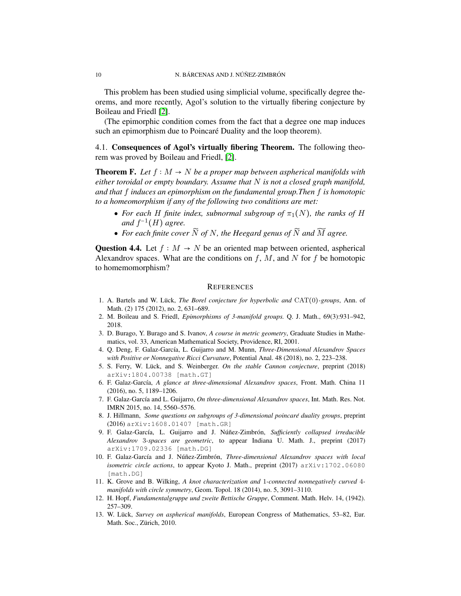This problem has been studied using simplicial volume, specifically degree theorems, and more recently, Agol's solution to the virtually fibering conjecture by Boileau and Friedl [\[2\]](#page-9-12).

(The epimorphic condition comes from the fact that a degree one map induces such an epimorphism due to Poincaré Duality and the loop theorem).

4.1. Consequences of Agol's virtually fibering Theorem. The following theorem was proved by Boileau and Friedl, [\[2\]](#page-9-12).

**Theorem F.** Let  $f : M \to N$  be a proper map between aspherical manifolds with *either toroidal or empty boundary. Assume that* N *is not a closed graph manifold, and that* f *induces an epimorphism on the fundamental group.Then* f *is homotopic to a homeomorphism if any of the following two conditions are met:*

- For each H finite index, subnormal subgroup of  $\pi_1(N)$ , the ranks of H and  $f^{-1}(H)$  agree.
- For each finite cover  $\widetilde{N}$  of N, the Heegard genus of  $\widetilde{N}$  and  $\widetilde{M}$  agree.

Question 4.4. Let  $f : M \to N$  be an oriented map between oriented, aspherical Alexandrov spaces. What are the conditions on  $f, M$ , and N for f be homotopic to homemomorphism?

#### **REFERENCES**

- <span id="page-9-0"></span>1. A. Bartels and W. Lück, *The Borel conjecture for hyperbolic and* CAT(0)*-groups*, Ann. of Math. (2) 175 (2012), no. 2, 631–689.
- <span id="page-9-12"></span>2. M. Boileau and S. Friedl, *Epimorphisms of 3-manifold groups.* Q. J. Math., 69(3):931–942, 2018.
- <span id="page-9-5"></span>3. D. Burago, Y. Burago and S. Ivanov, *A course in metric geometry*, Graduate Studies in Mathematics, vol. 33, American Mathematical Society, Providence, RI, 2001.
- <span id="page-9-6"></span>4. Q. Deng, F. Galaz-Garc´ıa, L. Guijarro and M. Munn, *Three-Dimensional Alexandrov Spaces with Positive or Nonnegative Ricci Curvature*, Potential Anal. 48 (2018), no. 2, 223–238.
- <span id="page-9-10"></span>5. S. Ferry, W. Lück, and S. Weinberger. On the stable Cannon conjecture, preprint (2018) arXiv:1804.00738 [math.GT]
- <span id="page-9-1"></span>6. F. Galaz-Garc´ıa, *A glance at three-dimensional Alexandrov spaces*, Front. Math. China 11 (2016), no. 5, 1189–1206.
- <span id="page-9-2"></span>7. F. Galaz-Garc´ıa and L. Guijarro, *On three-dimensional Alexandrov spaces*, Int. Math. Res. Not. IMRN 2015, no. 14, 5560–5576.
- <span id="page-9-11"></span>8. J. Hillmann, *Some questions on subgroups of 3-dimensional poincaré duality groups*, preprint (2016) arXiv:1608.01407 [math.GR]
- <span id="page-9-3"></span>9. F. Galaz-García, L. Guijarro and J. Núñez-Zimbrón, Sufficiently collapsed irreducible *Alexandrov* 3*-spaces are geometric*, to appear Indiana U. Math. J., preprint (2017) arXiv:1709.02336 [math.DG]
- <span id="page-9-4"></span>10. F. Galaz-García and J. Núñez-Zimbrón, Three-dimensional Alexandrov spaces with local *isometric circle actions*, to appear Kyoto J. Math., preprint (2017) arXiv:1702.06080 [math.DG]
- <span id="page-9-7"></span>11. K. Grove and B. Wilking, *A knot characterization and* 1*-connected nonnegatively curved* 4 *manifolds with circle symmetry*, Geom. Topol. 18 (2014), no. 5, 3091–3110.
- <span id="page-9-8"></span>12. H. Hopf, *Fundamentalgruppe und zweite Bettische Gruppe*, Comment. Math. Helv. 14, (1942). 257–309.
- <span id="page-9-9"></span>13. W. Lück, *Survey on aspherical manifolds*, European Congress of Mathematics, 53–82, Eur. Math. Soc., Zürich, 2010.